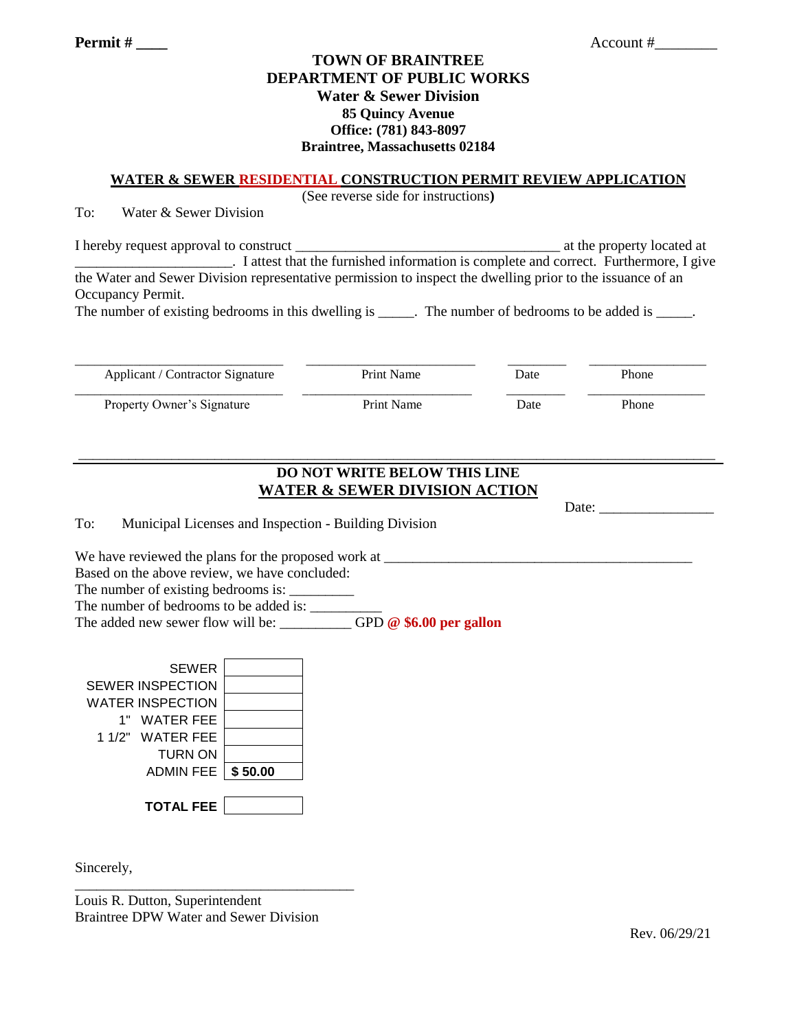## **TOWN OF BRAINTREE DEPARTMENT OF PUBLIC WORKS Water & Sewer Division 85 Quincy Avenue Office: (781) 843-8097 Braintree, Massachusetts 02184**

#### **WATER & SEWER RESIDENTIAL CONSTRUCTION PERMIT REVIEW APPLICATION**

(See reverse side for instructions**)**

To: Water & Sewer Division

I hereby request approval to construct **EXECUTE:** The property located at the property located at \_\_\_\_\_\_\_\_\_\_\_\_\_\_\_\_\_\_\_\_\_\_. I attest that the furnished information is complete and correct. Furthermore, I give the Water and Sewer Division representative permission to inspect the dwelling prior to the issuance of an Occupancy Permit. The number of existing bedrooms in this dwelling is \_\_\_\_\_. The number of bedrooms to be added is \_\_\_\_\_.

\_\_\_\_\_\_\_\_\_\_\_\_\_\_\_\_\_\_\_\_\_\_\_\_\_\_\_\_\_\_\_\_ \_\_\_\_\_\_\_\_\_\_\_\_\_\_\_\_\_\_\_\_\_\_\_\_\_\_ \_\_\_\_\_\_\_\_\_ \_\_\_\_\_\_\_\_\_\_\_\_\_\_\_\_\_\_ Applicant / Contractor Signature Print Name Date Phone \_\_\_\_\_\_\_\_\_\_\_\_\_\_\_\_\_\_\_\_\_\_\_\_\_\_\_\_\_\_\_\_ \_\_\_\_\_\_\_\_\_\_\_\_\_\_\_\_\_\_\_\_\_\_\_\_\_\_ \_\_\_\_\_\_\_\_\_ \_\_\_\_\_\_\_\_\_\_\_\_\_\_\_\_\_\_ Property Owner's Signature Print Name Date Phone

# **DO NOT WRITE BELOW THIS LINE WATER & SEWER DIVISION ACTION**

\_\_\_\_\_\_\_\_\_\_\_\_\_\_\_\_\_\_\_\_\_\_\_\_\_\_\_\_\_\_\_\_\_\_\_\_\_\_\_\_\_\_\_\_\_\_\_\_\_\_\_\_\_\_\_\_\_\_\_\_\_\_\_\_\_\_\_\_\_\_\_\_\_\_\_\_\_\_\_\_\_\_\_\_\_\_\_\_\_

|                                                                                  | Date: the contract of the contract of the contract of the contract of the contract of the contract of the contract of the contract of the contract of the contract of the contract of the contract of the contract of the cont |
|----------------------------------------------------------------------------------|--------------------------------------------------------------------------------------------------------------------------------------------------------------------------------------------------------------------------------|
| To:<br>Municipal Licenses and Inspection - Building Division                     |                                                                                                                                                                                                                                |
| We have reviewed the plans for the proposed work at ____________________________ |                                                                                                                                                                                                                                |
| Based on the above review, we have concluded:                                    |                                                                                                                                                                                                                                |
| The number of existing bedrooms is:                                              |                                                                                                                                                                                                                                |
| The number of bedrooms to be added is:                                           |                                                                                                                                                                                                                                |
| The added new sewer flow will be: $GPD \otimes $6.00$ per gallon                 |                                                                                                                                                                                                                                |

| <b>SEWER</b>               |  |
|----------------------------|--|
| <b>SEWER INSPECTION</b>    |  |
| <b>WATER INSPECTION</b>    |  |
| 1" WATER FEE               |  |
| 1 1/2" WATER FEE           |  |
| TURN ON                    |  |
| <b>ADMIN FEE   \$50.00</b> |  |
|                            |  |
| <b>TOTAL FEE</b>           |  |

Sincerely,

Louis R. Dutton, Superintendent Braintree DPW Water and Sewer Division

\_\_\_\_\_\_\_\_\_\_\_\_\_\_\_\_\_\_\_\_\_\_\_\_\_\_\_\_\_\_\_\_\_\_\_\_\_\_\_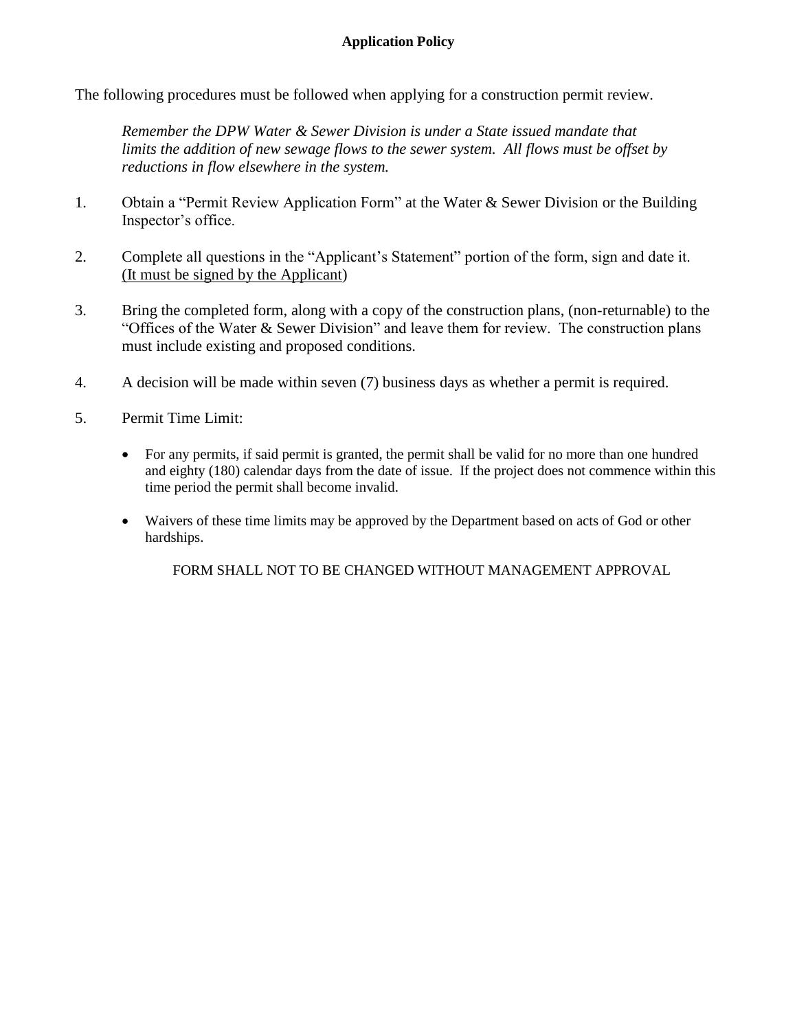The following procedures must be followed when applying for a construction permit review.

*Remember the DPW Water & Sewer Division is under a State issued mandate that limits the addition of new sewage flows to the sewer system. All flows must be offset by reductions in flow elsewhere in the system.* 

- 1. Obtain a "Permit Review Application Form" at the Water & Sewer Division or the Building Inspector's office.
- 2. Complete all questions in the "Applicant's Statement" portion of the form, sign and date it. (It must be signed by the Applicant)
- 3. Bring the completed form, along with a copy of the construction plans, (non-returnable) to the "Offices of the Water & Sewer Division" and leave them for review. The construction plans must include existing and proposed conditions.
- 4. A decision will be made within seven (7) business days as whether a permit is required.
- 5. Permit Time Limit:
	- For any permits, if said permit is granted, the permit shall be valid for no more than one hundred and eighty (180) calendar days from the date of issue. If the project does not commence within this time period the permit shall become invalid.
	- Waivers of these time limits may be approved by the Department based on acts of God or other hardships.

FORM SHALL NOT TO BE CHANGED WITHOUT MANAGEMENT APPROVAL